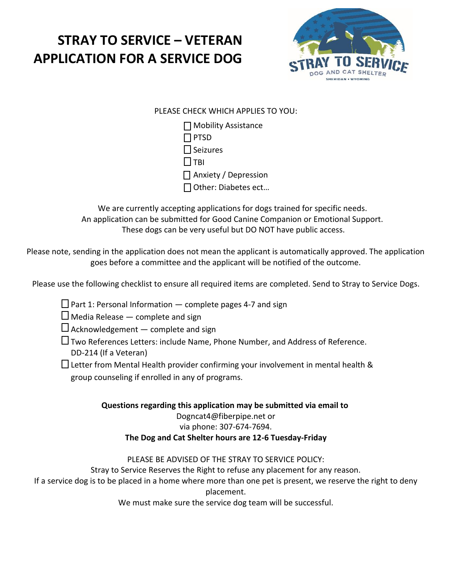

### PLEASE CHECK WHICH APPLIES TO YOU:

 $\Box$  Mobility Assistance  $\Box$  PTSD  $\Box$  Seizures  $\Box$ TBI  $\Box$  Anxiety / Depression Other: Diabetes ect…

We are currently accepting applications for dogs trained for specific needs. An application can be submitted for Good Canine Companion or Emotional Support. These dogs can be very useful but DO NOT have public access.

Please note, sending in the application does not mean the applicant is automatically approved. The application goes before a committee and the applicant will be notified of the outcome.

Please use the following checklist to ensure all required items are completed. Send to Stray to Service Dogs.

- $\Box$  Part 1: Personal Information complete pages 4-7 and sign
- $\Box$  Media Release  $-$  complete and sign
- $\Box$  Acknowledgement  $-$  complete and sign
- Two References Letters: include Name, Phone Number, and Address of Reference. DD‐214 (If a Veteran)
- $\Box$  Letter from Mental Health provider confirming your involvement in mental health & group counseling if enrolled in any of programs.

#### **Questions regarding this application may be submitted via email to** Dogncat4@fiberpipe.net or via phone: 307-674-7694. **The Dog and Cat Shelter hours are 12-6 Tuesday-Friday**

#### PLEASE BE ADVISED OF THE STRAY TO SERVICE POLICY:

Stray to Service Reserves the Right to refuse any placement for any reason.

If a service dog is to be placed in a home where more than one pet is present, we reserve the right to deny placement.

We must make sure the service dog team will be successful.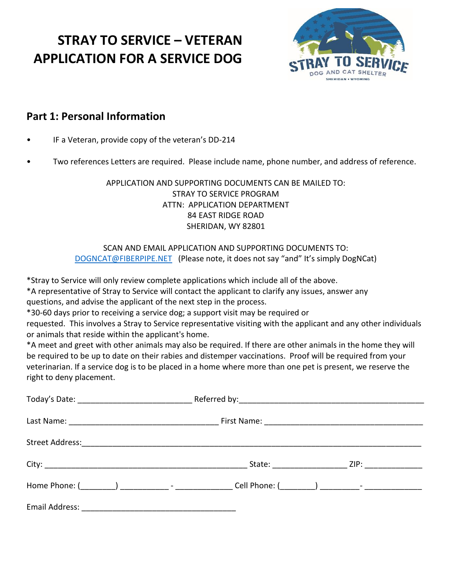

### **Part 1: Personal Information**

- IF a Veteran, provide copy of the veteran's DD‐214
- Two references Letters are required. Please include name, phone number, and address of reference.

APPLICATION AND SUPPORTING DOCUMENTS CAN BE MAILED TO: STRAY TO SERVICE PROGRAM ATTN: APPLICATION DEPARTMENT 84 EAST RIDGE ROAD SHERIDAN, WY 82801

#### SCAN AND EMAIL APPLICATION AND SUPPORTING DOCUMENTS TO: [DOGNCAT@FIBERPIPE.NET](mailto:DOGNCAT@FIBERPIPE.NET) (Please note, it does not say "and" It's simply DogNCat)

\*Stray to Service will only review complete applications which include all of the above.

\*A representative of Stray to Service will contact the applicant to clarify any issues, answer any questions, and advise the applicant of the next step in the process.

\*30‐60 days prior to receiving a service dog; a support visit may be required or

requested. This involves a Stray to Service representative visiting with the applicant and any other individuals or animals that reside within the applicant's home.

\*A meet and greet with other animals may also be required. If there are other animals in the home they will be required to be up to date on their rabies and distemper vaccinations. Proof will be required from your veterinarian. If a service dog is to be placed in a home where more than one pet is present, we reserve the right to deny placement.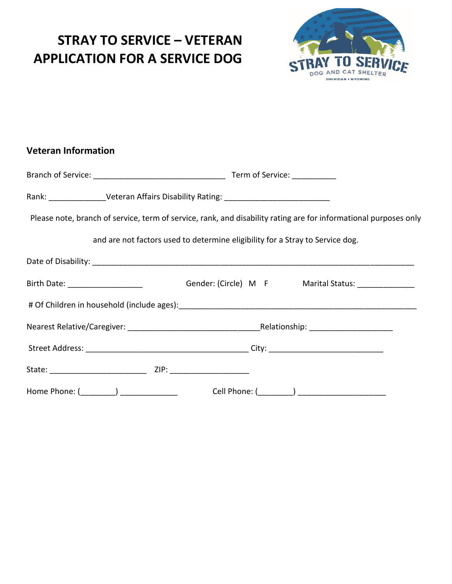**Veteran Information**



# Branch of Service: \_\_\_\_\_\_\_\_\_\_\_\_\_\_\_\_\_\_\_\_\_\_\_\_\_\_\_\_\_\_ Term of Service: \_\_\_\_\_\_\_\_\_\_ Rank: \_\_\_\_\_\_\_\_\_\_\_\_\_\_\_\_\_Veteran Affairs Disability Rating: \_\_\_\_\_\_\_\_\_\_\_\_\_\_\_\_\_\_\_\_\_\_\_ Please note, branch of service, term of service, rank, and disability rating are for informational purposes only and are not factors used to determine eligibility for a Stray to Service dog. Date of Disability: **Date of Disability:**  $\blacksquare$ Birth Date: \_\_\_\_\_\_\_\_\_\_\_\_\_\_\_\_\_\_\_\_\_\_\_\_\_\_\_\_\_\_\_\_\_Gender: (Circle) M F Marital Status: \_\_\_\_\_\_\_\_\_\_\_\_\_\_\_\_\_ # Of Children in household (include ages):\_\_\_\_\_\_\_\_\_\_\_\_\_\_\_\_\_\_\_\_\_\_\_\_\_\_\_\_\_\_\_\_\_\_\_\_\_\_\_\_\_\_\_\_\_\_\_\_\_\_\_\_\_\_ Nearest Relative/Caregiver: \_\_\_\_\_\_\_\_\_\_\_\_\_\_\_\_\_\_\_\_\_\_\_\_\_\_\_\_\_\_Relationship: \_\_\_\_\_\_\_\_\_\_\_\_\_\_\_\_\_\_\_ Street Address: \_\_\_\_\_\_\_\_\_\_\_\_\_\_\_\_\_\_\_\_\_\_\_\_\_\_\_\_\_\_\_\_\_\_\_\_\_ City: \_\_\_\_\_\_\_\_\_\_\_\_\_\_\_\_\_\_\_\_\_\_\_\_\_\_ State: \_\_\_\_\_\_\_\_\_\_\_\_\_\_\_\_\_\_\_\_\_\_ ZIP: \_\_\_\_\_\_\_\_\_\_\_\_\_\_\_\_\_\_ Home Phone: (\_\_\_\_\_\_\_\_) \_\_\_\_\_\_\_\_\_\_\_\_\_ Cell Phone: (\_\_\_\_\_\_\_\_) \_\_\_\_\_\_\_\_\_\_\_\_\_\_\_\_\_\_\_\_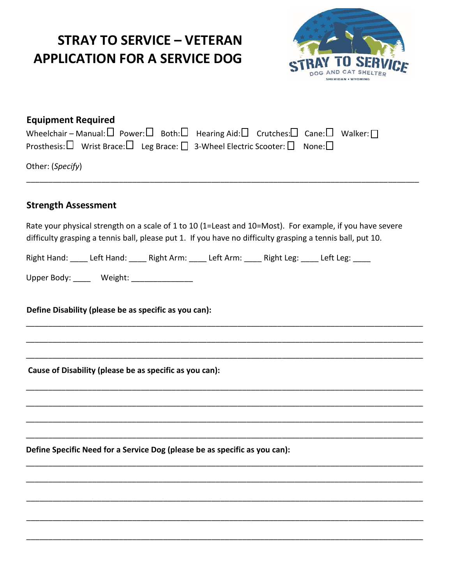

| <b>Equipment Required</b> |  |                                                                                                                                              |  |  |
|---------------------------|--|----------------------------------------------------------------------------------------------------------------------------------------------|--|--|
|                           |  | Wheelchair – Manual: $\square$ Power: $\square$ Both: $\square$ Hearing Aid: $\square$ Crutches: $\square$ Cane: $\square$ Walker: $\square$ |  |  |
|                           |  | Prosthesis: $\square$ Wrist Brace: $\square$ Leg Brace: $\square$ 3-Wheel Electric Scooter: $\square$ None: $\square$                        |  |  |

Other: (*Specify*)

#### **Strength Assessment**

Rate your physical strength on a scale of 1 to 10 (1=Least and 10=Most). For example, if you have severe difficulty grasping a tennis ball, please put 1. If you have no difficulty grasping a tennis ball, put 10.

\_\_\_\_\_\_\_\_\_\_\_\_\_\_\_\_\_\_\_\_\_\_\_\_\_\_\_\_\_\_\_\_\_\_\_\_\_\_\_\_\_\_\_\_\_\_\_\_\_\_\_\_\_\_\_\_\_\_\_\_\_\_\_\_\_\_\_\_\_\_\_\_\_\_\_\_\_\_\_\_\_\_\_\_\_\_\_\_\_\_

\_\_\_\_\_\_\_\_\_\_\_\_\_\_\_\_\_\_\_\_\_\_\_\_\_\_\_\_\_\_\_\_\_\_\_\_\_\_\_\_\_\_\_\_\_\_\_\_\_\_\_\_\_\_\_\_\_\_\_\_\_\_\_\_\_\_\_\_\_\_\_\_\_\_\_\_\_\_\_\_\_\_\_\_\_\_\_\_\_\_

\_\_\_\_\_\_\_\_\_\_\_\_\_\_\_\_\_\_\_\_\_\_\_\_\_\_\_\_\_\_\_\_\_\_\_\_\_\_\_\_\_\_\_\_\_\_\_\_\_\_\_\_\_\_\_\_\_\_\_\_\_\_\_\_\_\_\_\_\_\_\_\_\_\_\_\_\_\_\_\_\_\_\_\_\_\_\_\_\_\_

\_\_\_\_\_\_\_\_\_\_\_\_\_\_\_\_\_\_\_\_\_\_\_\_\_\_\_\_\_\_\_\_\_\_\_\_\_\_\_\_\_\_\_\_\_\_\_\_\_\_\_\_\_\_\_\_\_\_\_\_\_\_\_\_\_\_\_\_\_\_\_\_\_\_\_\_\_\_\_\_\_\_\_\_\_\_\_\_\_\_

\_\_\_\_\_\_\_\_\_\_\_\_\_\_\_\_\_\_\_\_\_\_\_\_\_\_\_\_\_\_\_\_\_\_\_\_\_\_\_\_\_\_\_\_\_\_\_\_\_\_\_\_\_\_\_\_\_\_\_\_\_\_\_\_\_\_\_\_\_\_\_\_\_\_\_\_\_\_\_\_\_\_\_\_\_\_\_\_\_\_

\_\_\_\_\_\_\_\_\_\_\_\_\_\_\_\_\_\_\_\_\_\_\_\_\_\_\_\_\_\_\_\_\_\_\_\_\_\_\_\_\_\_\_\_\_\_\_\_\_\_\_\_\_\_\_\_\_\_\_\_\_\_\_\_\_\_\_\_\_\_\_\_\_\_\_\_\_\_\_\_\_\_\_\_\_\_\_\_\_\_

\_\_\_\_\_\_\_\_\_\_\_\_\_\_\_\_\_\_\_\_\_\_\_\_\_\_\_\_\_\_\_\_\_\_\_\_\_\_\_\_\_\_\_\_\_\_\_\_\_\_\_\_\_\_\_\_\_\_\_\_\_\_\_\_\_\_\_\_\_\_\_\_\_\_\_\_\_\_\_\_\_\_\_\_\_\_\_\_\_\_

\_\_\_\_\_\_\_\_\_\_\_\_\_\_\_\_\_\_\_\_\_\_\_\_\_\_\_\_\_\_\_\_\_\_\_\_\_\_\_\_\_\_\_\_\_\_\_\_\_\_\_\_\_\_\_\_\_\_\_\_\_\_\_\_\_\_\_\_\_\_\_\_\_\_\_\_\_\_\_\_\_\_\_\_\_\_\_\_\_\_

\_\_\_\_\_\_\_\_\_\_\_\_\_\_\_\_\_\_\_\_\_\_\_\_\_\_\_\_\_\_\_\_\_\_\_\_\_\_\_\_\_\_\_\_\_\_\_\_\_\_\_\_\_\_\_\_\_\_\_\_\_\_\_\_\_\_\_\_\_\_\_\_\_\_\_\_\_\_\_\_\_\_\_\_\_\_\_\_\_\_

\_\_\_\_\_\_\_\_\_\_\_\_\_\_\_\_\_\_\_\_\_\_\_\_\_\_\_\_\_\_\_\_\_\_\_\_\_\_\_\_\_\_\_\_\_\_\_\_\_\_\_\_\_\_\_\_\_\_\_\_\_\_\_\_\_\_\_\_\_\_\_\_\_\_\_\_\_\_\_\_\_\_\_\_\_\_\_\_\_\_

\_\_\_\_\_\_\_\_\_\_\_\_\_\_\_\_\_\_\_\_\_\_\_\_\_\_\_\_\_\_\_\_\_\_\_\_\_\_\_\_\_\_\_\_\_\_\_\_\_\_\_\_\_\_\_\_\_\_\_\_\_\_\_\_\_\_\_\_\_\_\_\_\_\_\_\_\_\_\_\_\_\_\_\_\_\_\_\_\_\_

\_\_\_\_\_\_\_\_\_\_\_\_\_\_\_\_\_\_\_\_\_\_\_\_\_\_\_\_\_\_\_\_\_\_\_\_\_\_\_\_\_\_\_\_\_\_\_\_\_\_\_\_\_\_\_\_\_\_\_\_\_\_\_\_\_\_\_\_\_\_\_\_\_\_\_\_\_\_\_\_\_\_\_\_\_\_\_\_\_\_

\_\_\_\_\_\_\_\_\_\_\_\_\_\_\_\_\_\_\_\_\_\_\_\_\_\_\_\_\_\_\_\_\_\_\_\_\_\_\_\_\_\_\_\_\_\_\_\_\_\_\_\_\_\_\_\_\_\_\_\_\_\_\_\_\_\_\_\_\_\_\_\_\_\_\_\_\_\_\_\_\_\_\_\_\_\_\_\_\_

Right Hand: \_\_\_\_ Left Hand: \_\_\_\_ Right Arm: \_\_\_\_ Left Arm: \_\_\_\_ Right Leg: \_\_\_\_ Left Leg: \_\_\_\_

Upper Body: \_\_\_\_\_ Weight: \_\_\_\_\_\_\_\_\_\_\_\_\_\_\_

**Define Disability (please be as specific as you can):** 

**Cause of Disability (please be as specific as you can):** 

**Define Specific Need for a Service Dog (please be as specific as you can):**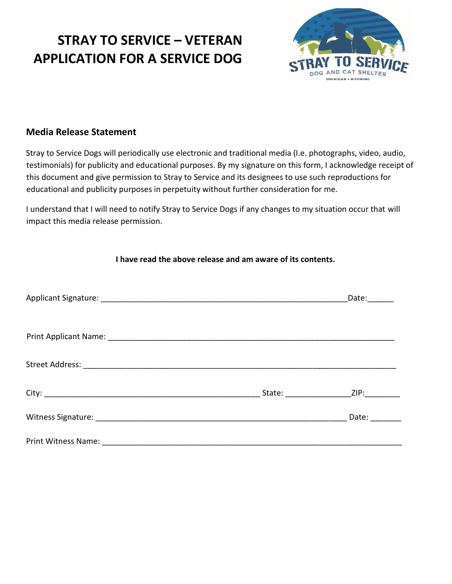

### **Media Release Statement**

Stray to Service Dogs will periodically use electronic and traditional media (I.e. photographs, video, audio, testimonials) for publicity and educational purposes. By my signature on this form, I acknowledge receipt of this document and give permission to Stray to Service and its designees to use such reproductions for educational and publicity purposes in perpetuity without further consideration for me.

I understand that I will need to notify Stray to Service Dogs if any changes to my situation occur that will impact this media release permission.

| I have read the above release and am aware of its contents. |  |                                                                           |
|-------------------------------------------------------------|--|---------------------------------------------------------------------------|
|                                                             |  | Date: $\frac{1}{\sqrt{1-\frac{1}{2}}\cdot\frac{1}{\sqrt{1-\frac{1}{2}}}}$ |
|                                                             |  |                                                                           |
|                                                             |  |                                                                           |
|                                                             |  | ZIP: ________                                                             |
|                                                             |  | Date: $\frac{1}{\sqrt{1-\frac{1}{2}}\cdot\frac{1}{2}}$                    |
|                                                             |  |                                                                           |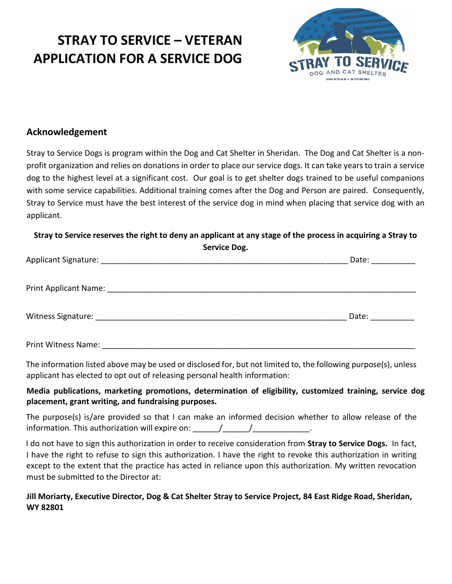

### **Acknowledgement**

Stray to Service Dogs is program within the Dog and Cat Shelter in Sheridan. The Dog and Cat Shelter is a non‐ profit organization and relies on donations in order to place our service dogs. It can take years to train a service dog to the highest level at a significant cost. Our goal is to get shelter dogs trained to be useful companions with some service capabilities. Additional training comes after the Dog and Person are paired. Consequently, Stray to Service must have the best interest of the service dog in mind when placing that service dog with an applicant.

**Stray to Service reserves the right to deny an applicant at any stage of the process in acquiring a Stray to Service Dog.** 

|                            | Date: and the state of the state of the state of the state of the state of the state of the state of the state |
|----------------------------|----------------------------------------------------------------------------------------------------------------|
|                            |                                                                                                                |
|                            | Date: and the state of the state of the state of the state of the state of the state of the state of the state |
| <b>Print Witness Name:</b> |                                                                                                                |

The information listed above may be used or disclosed for, but not limited to, the following purpose(s), unless applicant has elected to opt out of releasing personal health information:

#### **Media publications, marketing promotions, determination of eligibility, customized training, service dog placement, grant writing, and fundraising purposes.**

The purpose(s) is/are provided so that I can make an informed decision whether to allow release of the information. This authorization will expire on:  $\frac{1}{\sqrt{1-\frac{1}{\sqrt{1-\frac{1}{\sqrt{1-\frac{1}{\sqrt{1-\frac{1}{\sqrt{1-\frac{1}{\sqrt{1-\frac{1}{\sqrt{1-\frac{1}{\sqrt{1-\frac{1}{\sqrt{1-\frac{1}{\sqrt{1-\frac{1}{\sqrt{1-\frac{1}{\sqrt{1-\frac{1}{\sqrt{1-\frac{1}{\sqrt{1-\frac{1}{\sqrt{1-\frac{1}{\sqrt{1-\frac{1}{\sqrt{1-\frac{1}{\sqrt{1-\frac{1}{\sqrt{1-\$ 

I do not have to sign this authorization in order to receive consideration from **Stray to Service Dogs.** In fact, I have the right to refuse to sign this authorization. I have the right to revoke this authorization in writing except to the extent that the practice has acted in reliance upon this authorization. My written revocation must be submitted to the Director at:

#### **Jill Moriarty, Executive Director, Dog & Cat Shelter Stray to Service Project, 84 East Ridge Road, Sheridan, WY 82801**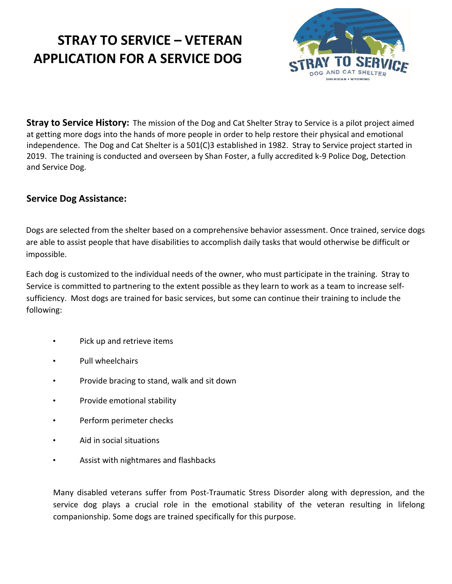

**Stray to Service History:** The mission of the Dog and Cat Shelter Stray to Service is a pilot project aimed at getting more dogs into the hands of more people in order to help restore their physical and emotional independence. The Dog and Cat Shelter is a 501(C)3 established in 1982. Stray to Service project started in 2019. The training is conducted and overseen by Shan Foster, a fully accredited k-9 Police Dog, Detection and Service Dog.

### **Service Dog Assistance:**

Dogs are selected from the shelter based on a comprehensive behavior assessment. Once trained, service dogs are able to assist people that have disabilities to accomplish daily tasks that would otherwise be difficult or impossible.

Each dog is customized to the individual needs of the owner, who must participate in the training. Stray to Service is committed to partnering to the extent possible as they learn to work as a team to increase self‐ sufficiency. Most dogs are trained for basic services, but some can continue their training to include the following:

- Pick up and retrieve items
- Pull wheelchairs
- Provide bracing to stand, walk and sit down
- Provide emotional stability
- Perform perimeter checks
- Aid in social situations
- Assist with nightmares and flashbacks

Many disabled veterans suffer from Post‐Traumatic Stress Disorder along with depression, and the service dog plays a crucial role in the emotional stability of the veteran resulting in lifelong companionship. Some dogs are trained specifically for this purpose.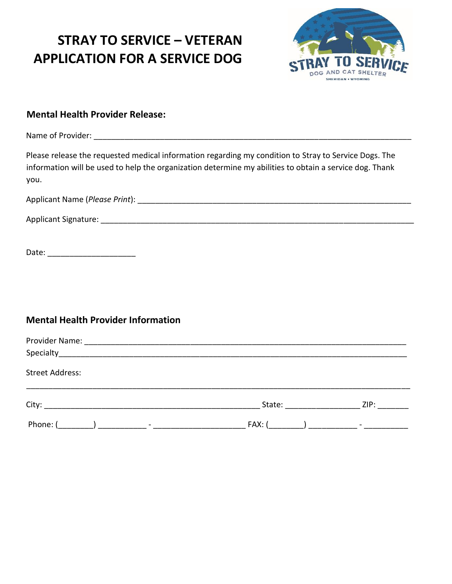

### **Mental Health Provider Release:**

Name of Provider: \_\_\_\_\_\_\_\_\_\_\_\_\_\_\_\_\_\_\_\_\_\_\_\_\_\_\_\_\_\_\_\_\_\_\_\_\_\_\_\_\_\_\_\_\_\_\_\_\_\_\_\_\_\_\_\_\_\_\_\_\_\_\_\_\_\_\_\_\_\_\_\_

Please release the requested medical information regarding my condition to Stray to Service Dogs. The information will be used to help the organization determine my abilities to obtain a service dog. Thank you.

| Applicant Name (Please Print): |  |
|--------------------------------|--|
|                                |  |

Applicant Signature: \_\_\_\_\_\_\_\_\_\_\_\_\_\_\_\_\_\_\_\_\_\_\_\_\_\_\_\_\_\_\_\_\_\_\_\_\_\_\_\_\_\_\_\_\_\_\_\_\_\_\_\_\_\_\_\_\_\_\_\_\_\_\_\_\_\_\_\_\_\_\_

Date: \_\_\_\_\_\_\_\_\_\_\_\_\_\_\_\_\_\_\_\_

### **Mental Health Provider Information**

| <b>Street Address:</b> |                                                                                                                 |      |
|------------------------|-----------------------------------------------------------------------------------------------------------------|------|
|                        | State: and the state of the state of the state of the state of the state of the state of the state of the state | ZIP: |
| Phone: (               | $FAX:$ (                                                                                                        |      |